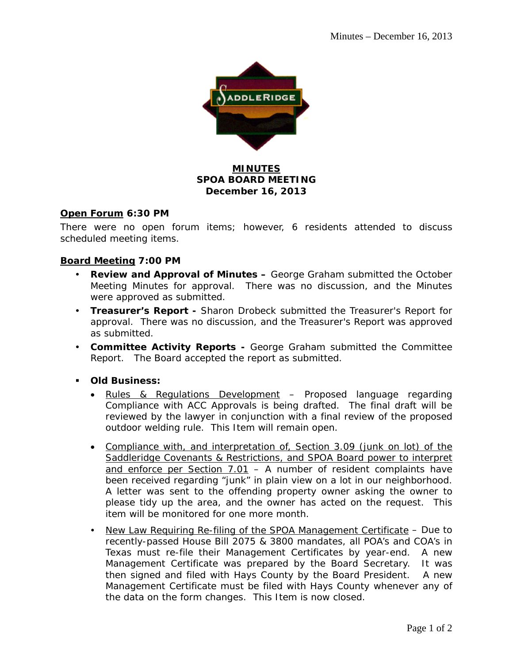

## **MINUTES SPOA BOARD MEETING December 16, 2013**

#### **Open Forum 6:30 PM**

There were no open forum items; however, 6 residents attended to discuss scheduled meeting items.

### **Board Meeting 7:00 PM**

- **Review and Approval of Minutes –** George Graham submitted the October Meeting Minutes for approval. There was no discussion, and the Minutes were approved as submitted.
- **Treasurer's Report** Sharon Drobeck submitted the Treasurer's Report for approval. There was no discussion, and the Treasurer's Report was approved as submitted.
- **Committee Activity Reports** George Graham submitted the Committee Report. The Board accepted the report as submitted.
- **Old Business:** 
	- Rules & Regulations Development Proposed language regarding Compliance with ACC Approvals is being drafted. The final draft will be reviewed by the lawyer in conjunction with a final review of the proposed outdoor welding rule. This Item will remain open.
	- Compliance with, and interpretation of, Section 3.09 (junk on lot) of the Saddleridge Covenants & Restrictions, and SPOA Board power to interpret and enforce per Section  $7.01$  – A number of resident complaints have been received regarding "junk" in plain view on a lot in our neighborhood. A letter was sent to the offending property owner asking the owner to please tidy up the area, and the owner has acted on the request. This item will be monitored for one more month.
	- New Law Requiring Re-filing of the SPOA Management Certificate Due to recently-passed House Bill 2075 & 3800 mandates, all POA's and COA's in Texas must re-file their Management Certificates by year-end. A new Management Certificate was prepared by the Board Secretary. It was then signed and filed with Hays County by the Board President. A new Management Certificate must be filed with Hays County whenever any of the data on the form changes. This Item is now closed.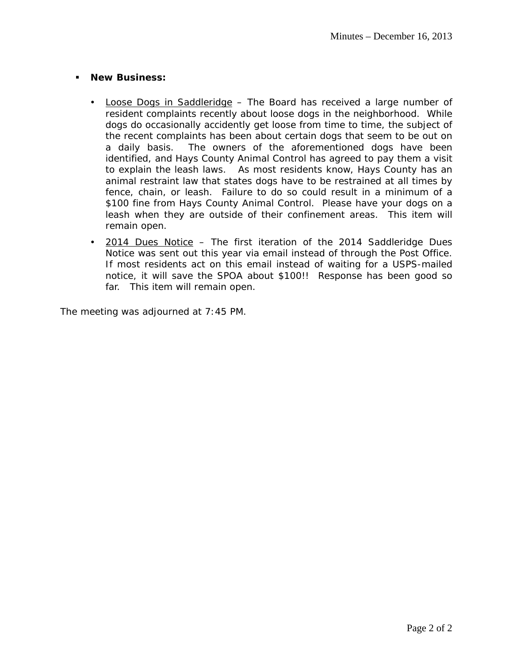#### **New Business:**

- Loose Dogs in Saddleridge The Board has received a large number of resident complaints recently about loose dogs in the neighborhood. While dogs do occasionally accidently get loose from time to time, the subject of the recent complaints has been about certain dogs that seem to be out on a daily basis. The owners of the aforementioned dogs have been identified, and Hays County Animal Control has agreed to pay them a visit to explain the leash laws. As most residents know, Hays County has an animal restraint law that states dogs have to be restrained at all times by fence, chain, or leash. Failure to do so could result in a minimum of a \$100 fine from Hays County Animal Control. Please have your dogs on a leash when they are outside of their confinement areas. This item will remain open.
- 2014 Dues Notice The first iteration of the 2014 Saddleridge Dues Notice was sent out this year via email instead of through the Post Office. If most residents act on this email instead of waiting for a USPS-mailed notice, it will save the SPOA about \$100!! Response has been good so far. This item will remain open.

The meeting was adjourned at 7:45 PM.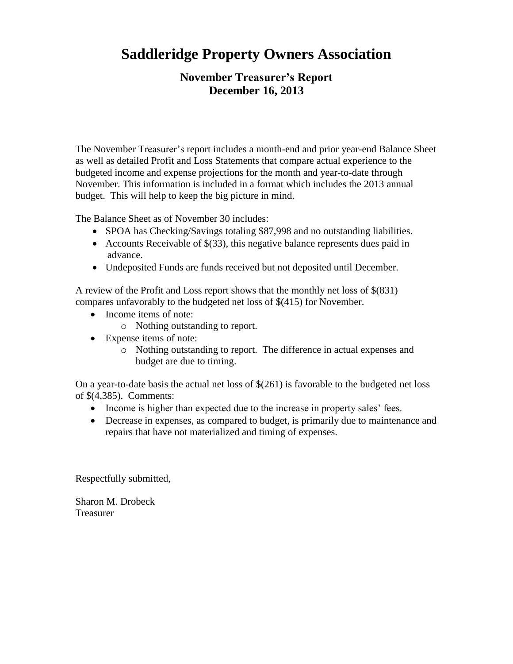# **Saddleridge Property Owners Association**

## **November Treasurer's Report December 16, 2013**

The November Treasurer's report includes a month-end and prior year-end Balance Sheet as well as detailed Profit and Loss Statements that compare actual experience to the budgeted income and expense projections for the month and year-to-date through November. This information is included in a format which includes the 2013 annual budget. This will help to keep the big picture in mind.

The Balance Sheet as of November 30 includes:

- SPOA has Checking/Savings totaling \$87,998 and no outstanding liabilities.
- Accounts Receivable of \$(33), this negative balance represents dues paid in advance.
- Undeposited Funds are funds received but not deposited until December.

A review of the Profit and Loss report shows that the monthly net loss of \$(831) compares unfavorably to the budgeted net loss of \$(415) for November.

- Income items of note:
	- o Nothing outstanding to report.
- Expense items of note:
	- o Nothing outstanding to report. The difference in actual expenses and budget are due to timing.

On a year-to-date basis the actual net loss of \$(261) is favorable to the budgeted net loss of \$(4,385). Comments:

- Income is higher than expected due to the increase in property sales' fees.
- Decrease in expenses, as compared to budget, is primarily due to maintenance and repairs that have not materialized and timing of expenses.

Respectfully submitted,

Sharon M. Drobeck Treasurer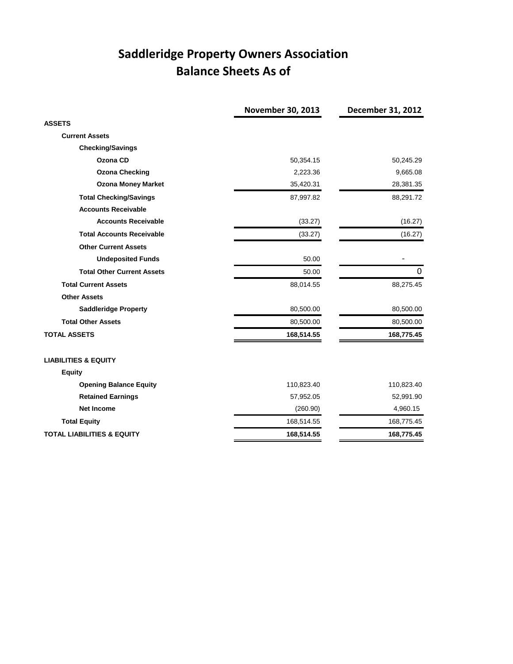# **Saddleridge Property Owners Association Balance Sheets As of**

|                                       | November 30, 2013 | December 31, 2012 |
|---------------------------------------|-------------------|-------------------|
| <b>ASSETS</b>                         |                   |                   |
| <b>Current Assets</b>                 |                   |                   |
| <b>Checking/Savings</b>               |                   |                   |
| Ozona CD                              | 50,354.15         | 50,245.29         |
| <b>Ozona Checking</b>                 | 2,223.36          | 9,665.08          |
| <b>Ozona Money Market</b>             | 35,420.31         | 28,381.35         |
| <b>Total Checking/Savings</b>         | 87,997.82         | 88,291.72         |
| <b>Accounts Receivable</b>            |                   |                   |
| <b>Accounts Receivable</b>            | (33.27)           | (16.27)           |
| <b>Total Accounts Receivable</b>      | (33.27)           | (16.27)           |
| <b>Other Current Assets</b>           |                   |                   |
| <b>Undeposited Funds</b>              | 50.00             |                   |
| <b>Total Other Current Assets</b>     | 50.00             | 0                 |
| <b>Total Current Assets</b>           | 88,014.55         | 88,275.45         |
| <b>Other Assets</b>                   |                   |                   |
| <b>Saddleridge Property</b>           | 80,500.00         | 80,500.00         |
| <b>Total Other Assets</b>             | 80,500.00         | 80,500.00         |
| <b>TOTAL ASSETS</b>                   | 168,514.55        | 168,775.45        |
| <b>LIABILITIES &amp; EQUITY</b>       |                   |                   |
| <b>Equity</b>                         |                   |                   |
| <b>Opening Balance Equity</b>         | 110,823.40        | 110,823.40        |
| <b>Retained Earnings</b>              | 57,952.05         | 52,991.90         |
| <b>Net Income</b>                     | (260.90)          | 4,960.15          |
| <b>Total Equity</b>                   | 168,514.55        | 168,775.45        |
| <b>TOTAL LIABILITIES &amp; EQUITY</b> | 168,514.55        | 168,775.45        |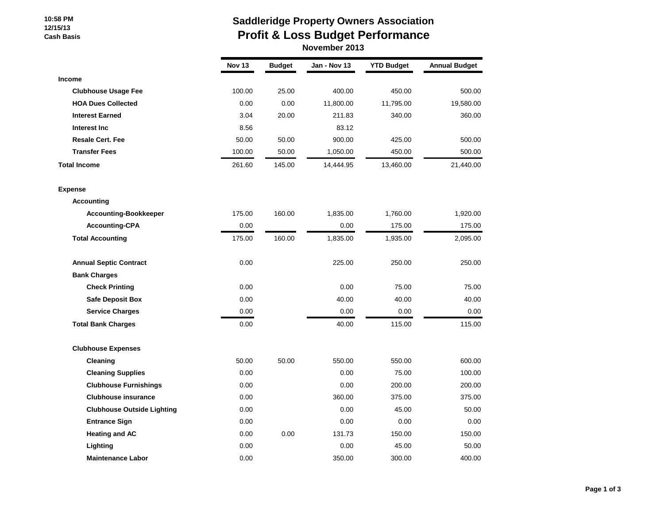#### **10:58 PM 12/15/13 Cash Basis**

# **Saddleridge Property Owners Association Profit & Loss Budget Performance**

 **November 2013**

|                                   | Nov 13 | <b>Budget</b> | Jan - Nov 13 | <b>YTD Budget</b> | <b>Annual Budget</b> |
|-----------------------------------|--------|---------------|--------------|-------------------|----------------------|
| Income                            |        |               |              |                   |                      |
| <b>Clubhouse Usage Fee</b>        | 100.00 | 25.00         | 400.00       | 450.00            | 500.00               |
| <b>HOA Dues Collected</b>         | 0.00   | 0.00          | 11,800.00    | 11,795.00         | 19,580.00            |
| <b>Interest Earned</b>            | 3.04   | 20.00         | 211.83       | 340.00            | 360.00               |
| Interest Inc                      | 8.56   |               | 83.12        |                   |                      |
| <b>Resale Cert. Fee</b>           | 50.00  | 50.00         | 900.00       | 425.00            | 500.00               |
| <b>Transfer Fees</b>              | 100.00 | 50.00         | 1,050.00     | 450.00            | 500.00               |
| <b>Total Income</b>               | 261.60 | 145.00        | 14,444.95    | 13,460.00         | 21,440.00            |
| <b>Expense</b>                    |        |               |              |                   |                      |
| <b>Accounting</b>                 |        |               |              |                   |                      |
| <b>Accounting-Bookkeeper</b>      | 175.00 | 160.00        | 1,835.00     | 1,760.00          | 1,920.00             |
| <b>Accounting-CPA</b>             | 0.00   |               | 0.00         | 175.00            | 175.00               |
| <b>Total Accounting</b>           | 175.00 | 160.00        | 1,835.00     | 1,935.00          | 2,095.00             |
| <b>Annual Septic Contract</b>     | 0.00   |               | 225.00       | 250.00            | 250.00               |
| <b>Bank Charges</b>               |        |               |              |                   |                      |
| <b>Check Printing</b>             | 0.00   |               | 0.00         | 75.00             | 75.00                |
| <b>Safe Deposit Box</b>           | 0.00   |               | 40.00        | 40.00             | 40.00                |
| <b>Service Charges</b>            | 0.00   |               | 0.00         | 0.00              | 0.00                 |
| <b>Total Bank Charges</b>         | 0.00   |               | 40.00        | 115.00            | 115.00               |
| <b>Clubhouse Expenses</b>         |        |               |              |                   |                      |
| Cleaning                          | 50.00  | 50.00         | 550.00       | 550.00            | 600.00               |
| <b>Cleaning Supplies</b>          | 0.00   |               | 0.00         | 75.00             | 100.00               |
| <b>Clubhouse Furnishings</b>      | 0.00   |               | 0.00         | 200.00            | 200.00               |
| <b>Clubhouse insurance</b>        | 0.00   |               | 360.00       | 375.00            | 375.00               |
| <b>Clubhouse Outside Lighting</b> | 0.00   |               | 0.00         | 45.00             | 50.00                |
| <b>Entrance Sign</b>              | 0.00   |               | 0.00         | 0.00              | 0.00                 |
| <b>Heating and AC</b>             | 0.00   | 0.00          | 131.73       | 150.00            | 150.00               |
| Lighting                          | 0.00   |               | 0.00         | 45.00             | 50.00                |
| <b>Maintenance Labor</b>          | 0.00   |               | 350.00       | 300.00            | 400.00               |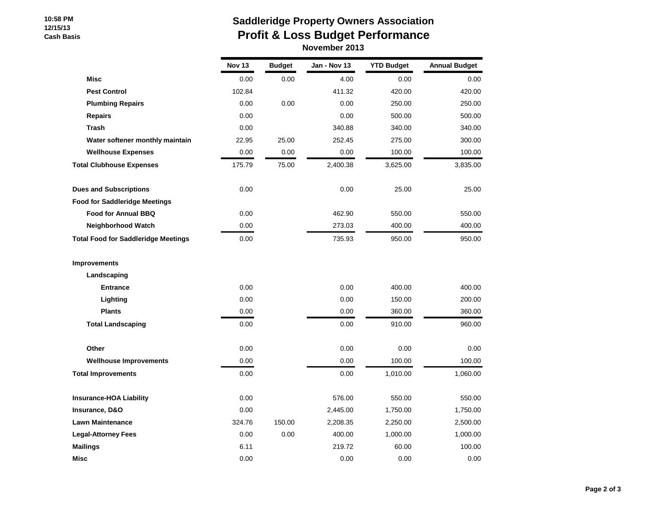#### **10:58 PM 12/15/13 Cash Basis**

## **Saddleridge Property Owners Association Profit & Loss Budget Performance November 2013**

|                                            | <b>Nov 13</b> | <b>Budget</b> | Jan - Nov 13 | <b>YTD Budget</b> | <b>Annual Budget</b> |
|--------------------------------------------|---------------|---------------|--------------|-------------------|----------------------|
| <b>Misc</b>                                | 0.00          | 0.00          | 4.00         | 0.00              | 0.00                 |
| <b>Pest Control</b>                        | 102.84        |               | 411.32       | 420.00            | 420.00               |
| <b>Plumbing Repairs</b>                    | 0.00          | 0.00          | 0.00         | 250.00            | 250.00               |
| <b>Repairs</b>                             | 0.00          |               | 0.00         | 500.00            | 500.00               |
| <b>Trash</b>                               | 0.00          |               | 340.88       | 340.00            | 340.00               |
| Water softener monthly maintain            | 22.95         | 25.00         | 252.45       | 275.00            | 300.00               |
| <b>Wellhouse Expenses</b>                  | 0.00          | 0.00          | 0.00         | 100.00            | 100.00               |
| <b>Total Clubhouse Expenses</b>            | 175.79        | 75.00         | 2,400.38     | 3,625.00          | 3,835.00             |
| <b>Dues and Subscriptions</b>              | 0.00          |               | 0.00         | 25.00             | 25.00                |
| <b>Food for Saddleridge Meetings</b>       |               |               |              |                   |                      |
| <b>Food for Annual BBQ</b>                 | 0.00          |               | 462.90       | 550.00            | 550.00               |
| <b>Neighborhood Watch</b>                  | 0.00          |               | 273.03       | 400.00            | 400.00               |
| <b>Total Food for Saddleridge Meetings</b> | 0.00          |               | 735.93       | 950.00            | 950.00               |
| <b>Improvements</b>                        |               |               |              |                   |                      |
| Landscaping                                |               |               |              |                   |                      |
| <b>Entrance</b>                            | 0.00          |               | 0.00         | 400.00            | 400.00               |
| Lighting                                   | 0.00          |               | 0.00         | 150.00            | 200.00               |
| <b>Plants</b>                              | 0.00          |               | 0.00         | 360.00            | 360.00               |
| <b>Total Landscaping</b>                   | 0.00          |               | 0.00         | 910.00            | 960.00               |
| Other                                      | 0.00          |               | 0.00         | 0.00              | 0.00                 |
| <b>Wellhouse Improvements</b>              | 0.00          |               | 0.00         | 100.00            | 100.00               |
| <b>Total Improvements</b>                  | 0.00          |               | 0.00         | 1,010.00          | 1,060.00             |
| <b>Insurance-HOA Liability</b>             | 0.00          |               | 576.00       | 550.00            | 550.00               |
| Insurance, D&O                             | 0.00          |               | 2,445.00     | 1,750.00          | 1,750.00             |
| <b>Lawn Maintenance</b>                    | 324.76        | 150.00        | 2,208.35     | 2,250.00          | 2,500.00             |
| <b>Legal-Attorney Fees</b>                 | 0.00          | 0.00          | 400.00       | 1,000.00          | 1,000.00             |
| <b>Mailings</b>                            | 6.11          |               | 219.72       | 60.00             | 100.00               |
| Misc                                       | 0.00          |               | 0.00         | 0.00              | 0.00                 |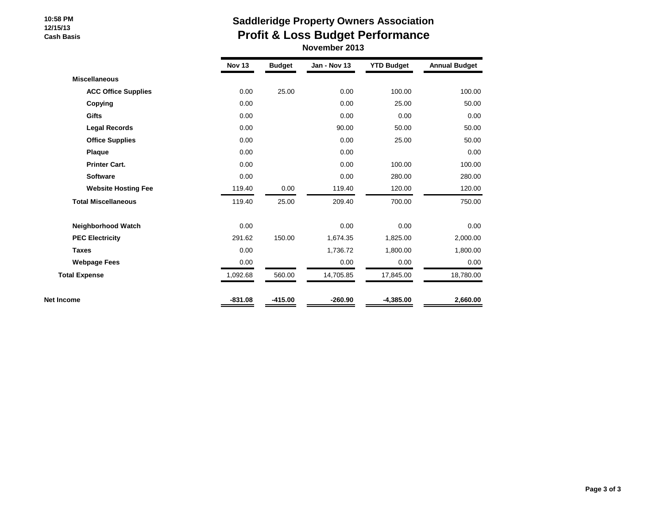#### **10:58 PM 12/15/13 Cash Basis**

# **Saddleridge Property Owners Association Profit & Loss Budget Performance**

 **November 2013**

|                            | <b>Nov 13</b> | <b>Budget</b> | Jan - Nov 13 | <b>YTD Budget</b> | <b>Annual Budget</b> |
|----------------------------|---------------|---------------|--------------|-------------------|----------------------|
| <b>Miscellaneous</b>       |               |               |              |                   |                      |
| <b>ACC Office Supplies</b> | 0.00          | 25.00         | 0.00         | 100.00            | 100.00               |
| Copying                    | 0.00          |               | 0.00         | 25.00             | 50.00                |
| <b>Gifts</b>               | 0.00          |               | 0.00         | 0.00              | 0.00                 |
| <b>Legal Records</b>       | 0.00          |               | 90.00        | 50.00             | 50.00                |
| <b>Office Supplies</b>     | 0.00          |               | 0.00         | 25.00             | 50.00                |
| Plaque                     | 0.00          |               | 0.00         |                   | 0.00                 |
| <b>Printer Cart.</b>       | 0.00          |               | 0.00         | 100.00            | 100.00               |
| <b>Software</b>            | 0.00          |               | 0.00         | 280.00            | 280.00               |
| <b>Website Hosting Fee</b> | 119.40        | 0.00          | 119.40       | 120.00            | 120.00               |
| <b>Total Miscellaneous</b> | 119.40        | 25.00         | 209.40       | 700.00            | 750.00               |
| Neighborhood Watch         | 0.00          |               | 0.00         | 0.00              | 0.00                 |
| <b>PEC Electricity</b>     | 291.62        | 150.00        | 1,674.35     | 1,825.00          | 2,000.00             |
| <b>Taxes</b>               | 0.00          |               | 1,736.72     | 1,800.00          | 1,800.00             |
| <b>Webpage Fees</b>        | 0.00          |               | 0.00         | 0.00              | 0.00                 |
| <b>Total Expense</b>       | 1,092.68      | 560.00        | 14,705.85    | 17,845.00         | 18,780.00            |
| Net Income                 | $-831.08$     | $-415.00$     | $-260.90$    | $-4,385.00$       | 2,660.00             |